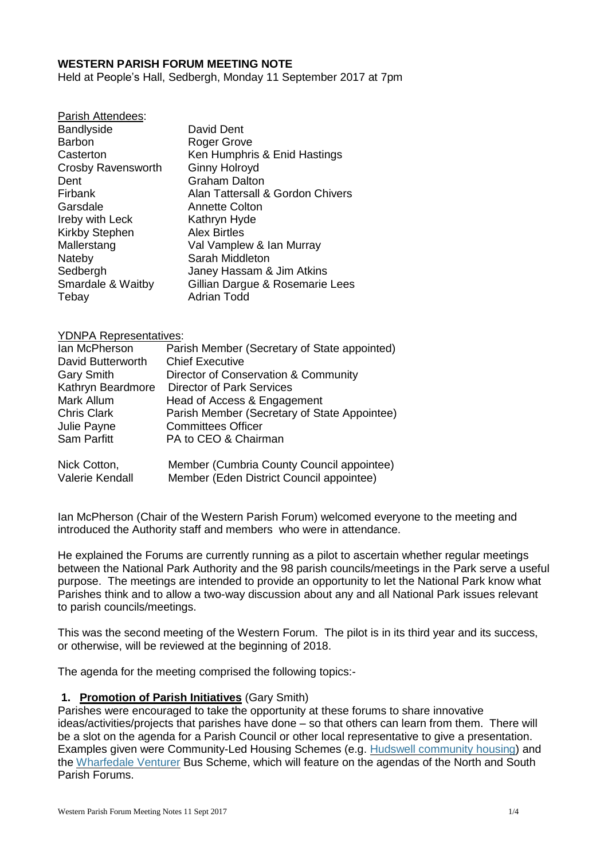#### **WESTERN PARISH FORUM MEETING NOTE**

Held at People's Hall, Sedbergh, Monday 11 September 2017 at 7pm

| Parish Attendees:      |                                  |
|------------------------|----------------------------------|
| <b>Bandlyside</b>      | David Dent                       |
| <b>Barbon</b>          | Roger Grove                      |
| Casterton              | Ken Humphris & Enid Hastings     |
| Crosby Ravensworth     | <b>Ginny Holroyd</b>             |
| Dent                   | <b>Graham Dalton</b>             |
| Firbank                | Alan Tattersall & Gordon Chivers |
| Garsdale               | Annette Colton                   |
| <b>Ireby with Leck</b> | Kathryn Hyde                     |
| <b>Kirkby Stephen</b>  | <b>Alex Birtles</b>              |
| Mallerstang            | Val Vamplew & Ian Murray         |
| Nateby                 | Sarah Middleton                  |
| Sedbergh               | Janey Hassam & Jim Atkins        |
| Smardale & Waitby      | Gillian Dargue & Rosemarie Lees  |
| Tebay                  | <b>Adrian Todd</b>               |
|                        |                                  |

#### YDNPA Representatives:

Parish Attendees:

| Ian McPherson      | Parish Member (Secretary of State appointed) |
|--------------------|----------------------------------------------|
| David Butterworth  | <b>Chief Executive</b>                       |
| <b>Gary Smith</b>  | Director of Conservation & Community         |
| Kathryn Beardmore  | <b>Director of Park Services</b>             |
| Mark Allum         | Head of Access & Engagement                  |
| <b>Chris Clark</b> | Parish Member (Secretary of State Appointee) |
| Julie Payne        | <b>Committees Officer</b>                    |
| Sam Parfitt        | PA to CEO & Chairman                         |
| Nick Cotton,       | Member (Cumbria County Council appointee)    |
| Valerie Kendall    | Member (Eden District Council appointee)     |

Ian McPherson (Chair of the Western Parish Forum) welcomed everyone to the meeting and introduced the Authority staff and members who were in attendance.

He explained the Forums are currently running as a pilot to ascertain whether regular meetings between the National Park Authority and the 98 parish councils/meetings in the Park serve a useful purpose. The meetings are intended to provide an opportunity to let the National Park know what Parishes think and to allow a two-way discussion about any and all National Park issues relevant to parish councils/meetings.

This was the second meeting of the Western Forum. The pilot is in its third year and its success, or otherwise, will be reviewed at the beginning of 2018.

The agenda for the meeting comprised the following topics:-

#### **1. Promotion of Parish Initiatives** (Gary Smith)

Parishes were encouraged to take the opportunity at these forums to share innovative ideas/activities/projects that parishes have done – so that others can learn from them. There will be a slot on the agenda for a Parish Council or other local representative to give a presentation. Examples given were Community-Led Housing Schemes (e.g. Hudswell [community](http://locality.org.uk/projects/communityled-housing/case-studies/hudswell-community-charity-invests-affordable-housing/) housing) and the [Wharfedale](http://www.vetch.co.uk/uw_bus/about.htm) Venturer Bus Scheme, which will feature on the agendas of the North and South Parish Forums.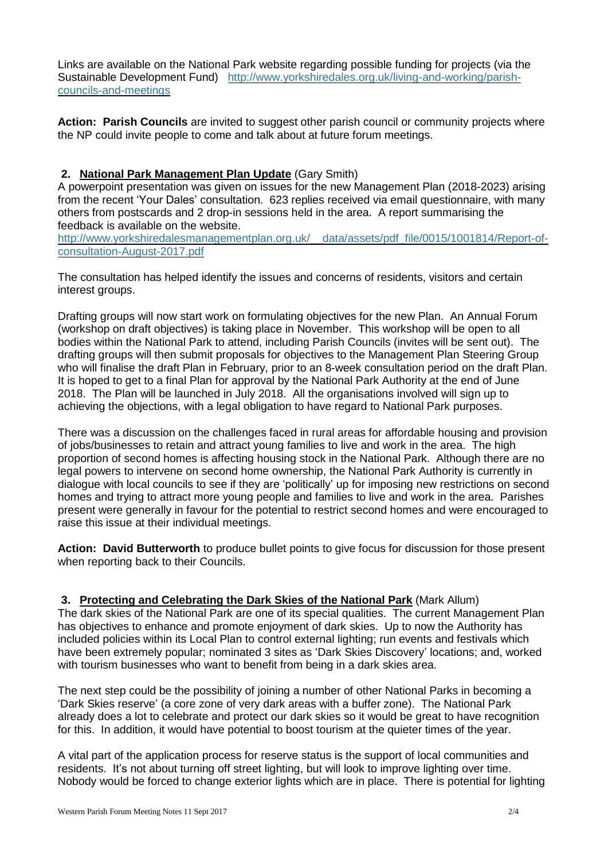Links are available on the National Park website regarding possible funding for projects (via the Sustainable Development Fund) [http://www.yorkshiredales.org.uk/living-and-working/parish](http://www.yorkshiredales.org.uk/living-and-working/parish-councils-and-meetings)[councils-and-meetings](http://www.yorkshiredales.org.uk/living-and-working/parish-councils-and-meetings)

**Action: Parish Councils** are invited to suggest other parish council or community projects where the NP could invite people to come and talk about at future forum meetings.

## **2. National Park Management Plan Update** (Gary Smith)

A powerpoint presentation was given on issues for the new Management Plan (2018-2023) arising from the recent 'Your Dales' consultation. 623 replies received via email questionnaire, with many others from postscards and 2 drop-in sessions held in the area. A report summarising the feedback is available on the website.

[http://www.yorkshiredalesmanagementplan.org.uk/\\_\\_data/assets/pdf\\_file/0015/1001814/Report-of](http://www.yorkshiredalesmanagementplan.org.uk/__data/assets/pdf_file/0015/1001814/Report-of-consultation-August-2017.pdf)[consultation-August-2017.pdf](http://www.yorkshiredalesmanagementplan.org.uk/__data/assets/pdf_file/0015/1001814/Report-of-consultation-August-2017.pdf)

The consultation has helped identify the issues and concerns of residents, visitors and certain interest groups.

Drafting groups will now start work on formulating objectives for the new Plan. An Annual Forum (workshop on draft objectives) is taking place in November. This workshop will be open to all bodies within the National Park to attend, including Parish Councils (invites will be sent out). The drafting groups will then submit proposals for objectives to the Management Plan Steering Group who will finalise the draft Plan in February, prior to an 8-week consultation period on the draft Plan. It is hoped to get to a final Plan for approval by the National Park Authority at the end of June 2018. The Plan will be launched in July 2018. All the organisations involved will sign up to achieving the objections, with a legal obligation to have regard to National Park purposes.

There was a discussion on the challenges faced in rural areas for affordable housing and provision of jobs/businesses to retain and attract young families to live and work in the area. The high proportion of second homes is affecting housing stock in the National Park. Although there are no legal powers to intervene on second home ownership, the National Park Authority is currently in dialogue with local councils to see if they are 'politically' up for imposing new restrictions on second homes and trying to attract more young people and families to live and work in the area. Parishes present were generally in favour for the potential to restrict second homes and were encouraged to raise this issue at their individual meetings.

**Action: David Butterworth** to produce bullet points to give focus for discussion for those present when reporting back to their Councils.

**3. Protecting and Celebrating the Dark Skies of the National Park** (Mark Allum) The dark skies of the National Park are one of its special qualities. The current Management Plan has objectives to enhance and promote enjoyment of dark skies. Up to now the Authority has included policies within its Local Plan to control external lighting; run events and festivals which have been extremely popular; nominated 3 sites as 'Dark Skies Discovery' locations; and, worked with tourism businesses who want to benefit from being in a dark skies area.

The next step could be the possibility of joining a number of other National Parks in becoming a 'Dark Skies reserve' (a core zone of very dark areas with a buffer zone). The National Park already does a lot to celebrate and protect our dark skies so it would be great to have recognition for this. In addition, it would have potential to boost tourism at the quieter times of the year.

A vital part of the application process for reserve status is the support of local communities and residents. It's not about turning off street lighting, but will look to improve lighting over time. Nobody would be forced to change exterior lights which are in place. There is potential for lighting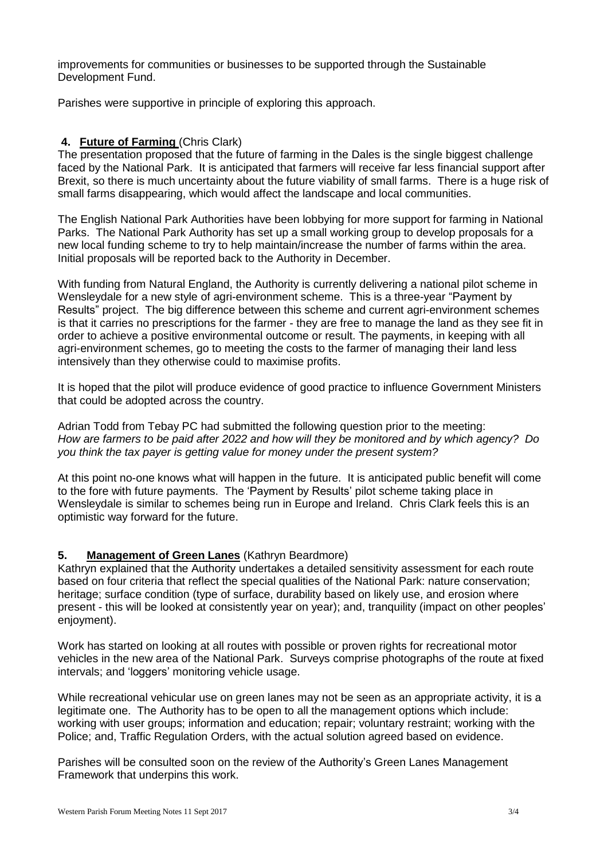improvements for communities or businesses to be supported through the Sustainable Development Fund.

Parishes were supportive in principle of exploring this approach.

## **4. Future of Farming** (Chris Clark)

The presentation proposed that the future of farming in the Dales is the single biggest challenge faced by the National Park. It is anticipated that farmers will receive far less financial support after Brexit, so there is much uncertainty about the future viability of small farms. There is a huge risk of small farms disappearing, which would affect the landscape and local communities.

The English National Park Authorities have been lobbying for more support for farming in National Parks. The National Park Authority has set up a small working group to develop proposals for a new local funding scheme to try to help maintain/increase the number of farms within the area. Initial proposals will be reported back to the Authority in December.

With funding from Natural England, the Authority is currently delivering a national pilot scheme in Wensleydale for a new style of agri-environment scheme. This is a three-year "Payment by Results" project. The big difference between this scheme and current agri-environment schemes is that it carries no prescriptions for the farmer - they are free to manage the land as they see fit in order to achieve a positive environmental outcome or result. The payments, in keeping with all agri-environment schemes, go to meeting the costs to the farmer of managing their land less intensively than they otherwise could to maximise profits.

It is hoped that the pilot will produce evidence of good practice to influence Government Ministers that could be adopted across the country.

Adrian Todd from Tebay PC had submitted the following question prior to the meeting: *How are farmers to be paid after 2022 and how will they be monitored and by which agency? Do you think the tax payer is getting value for money under the present system?*

At this point no-one knows what will happen in the future. It is anticipated public benefit will come to the fore with future payments. The 'Payment by Results' pilot scheme taking place in Wensleydale is similar to schemes being run in Europe and Ireland. Chris Clark feels this is an optimistic way forward for the future.

# **5. Management of Green Lanes** (Kathryn Beardmore)

Kathryn explained that the Authority undertakes a detailed sensitivity assessment for each route based on four criteria that reflect the special qualities of the National Park: nature conservation; heritage; surface condition (type of surface, durability based on likely use, and erosion where present - this will be looked at consistently year on year); and, tranquility (impact on other peoples' enjoyment).

Work has started on looking at all routes with possible or proven rights for recreational motor vehicles in the new area of the National Park. Surveys comprise photographs of the route at fixed intervals; and 'loggers' monitoring vehicle usage.

While recreational vehicular use on green lanes may not be seen as an appropriate activity, it is a legitimate one. The Authority has to be open to all the management options which include: working with user groups; information and education; repair; voluntary restraint; working with the Police; and, Traffic Regulation Orders, with the actual solution agreed based on evidence.

Parishes will be consulted soon on the review of the Authority's Green Lanes Management Framework that underpins this work.